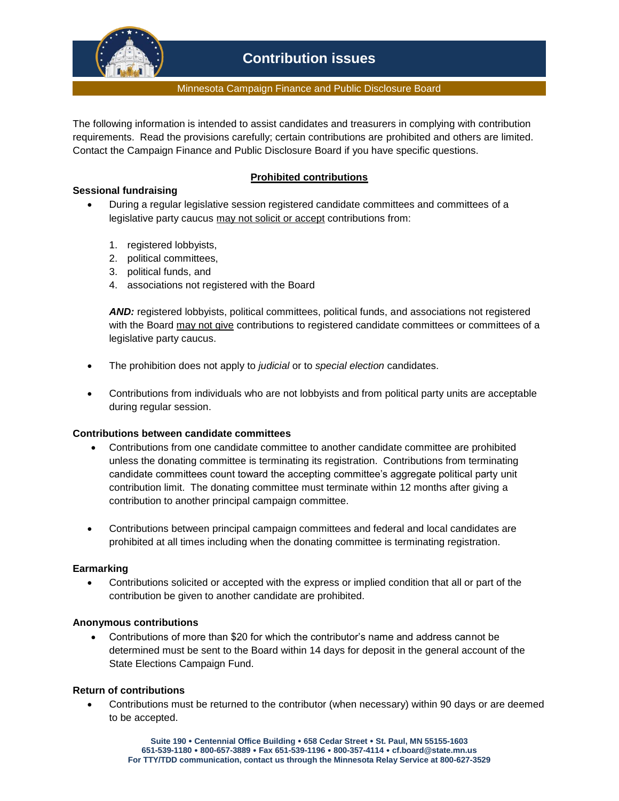

#### Minnesota Campaign Finance and Public Disclosure Board

The following information is intended to assist candidates and treasurers in complying with contribution requirements. Read the provisions carefully; certain contributions are prohibited and others are limited. Contact the Campaign Finance and Public Disclosure Board if you have specific questions.

# **Sessional fundraising**

# **Prohibited contributions**

- During a regular legislative session registered candidate committees and committees of a legislative party caucus may not solicit or accept contributions from:
	- 1. registered lobbyists,
	- 2. political committees,
	- 3. political funds, and
	- 4. associations not registered with the Board

AND: registered lobbyists, political committees, political funds, and associations not registered with the Board may not give contributions to registered candidate committees or committees of a legislative party caucus.

- The prohibition does not apply to *judicial* or to *special election* candidates.
- Contributions from individuals who are not lobbyists and from political party units are acceptable during regular session.

# **Contributions between candidate committees**

- Contributions from one candidate committee to another candidate committee are prohibited unless the donating committee is terminating its registration. Contributions from terminating candidate committees count toward the accepting committee's aggregate political party unit contribution limit. The donating committee must terminate within 12 months after giving a contribution to another principal campaign committee.
- Contributions between principal campaign committees and federal and local candidates are prohibited at all times including when the donating committee is terminating registration.

#### **Earmarking**

 Contributions solicited or accepted with the express or implied condition that all or part of the contribution be given to another candidate are prohibited.

# **Anonymous contributions**

 Contributions of more than \$20 for which the contributor's name and address cannot be determined must be sent to the Board within 14 days for deposit in the general account of the State Elections Campaign Fund.

# **Return of contributions**

 Contributions must be returned to the contributor (when necessary) within 90 days or are deemed to be accepted.